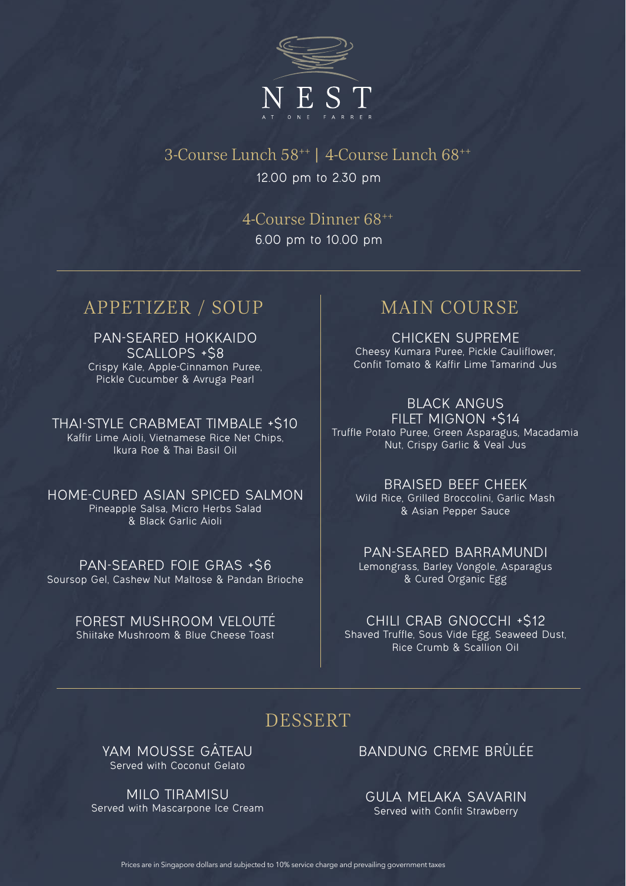

3-Course Lunch 58++ | 4-Course Lunch 68++ 12.00 pm to 2.30 pm

> 4-Course Dinner 68++ 6.00 pm to 10.00 pm

# APPETIZER / SOUP MAIN COURSE

PAN-SEARED HOKKAIDO SCALLOPS +\$8 Crispy Kale, Apple-Cinnamon Puree, Pickle Cucumber & Avruga Pearl

THAI-STYLE CRABMEAT TIMBALE +\$10 Kaffir Lime Aioli, Vietnamese Rice Net Chips, Ikura Roe & Thai Basil Oil

HOME-CURED ASIAN SPICED SALMON Pineapple Salsa, Micro Herbs Salad & Black Garlic Aioli

PAN-SEARED FOIE GRAS +\$6 Soursop Gel, Cashew Nut Maltose & Pandan Brioche

> FOREST MUSHROOM VELOUTÉ Shiitake Mushroom & Blue Cheese Toast

CHICKEN SUPREME Cheesy Kumara Puree, Pickle Cauliflower, Confit Tomato & Kaffir Lime Tamarind Jus

### BLACK ANGUS

FILET MIGNON +\$14 Truffle Potato Puree, Green Asparagus, Macadamia Nut, Crispy Garlic & Veal Jus

### BRAISED BEEF CHEEK

Wild Rice, Grilled Broccolini, Garlic Mash & Asian Pepper Sauce

### PAN-SEARED BARRAMUNDI Lemongrass, Barley Vongole, Asparagus & Cured Organic Egg

CHILI CRAB GNOCCHI +\$12 Shaved Truffle, Sous Vide Egg, Seaweed Dust, Rice Crumb & Scallion Oil

# DESSERT

YAM MOUSSE GÂTEAU Served with Coconut Gelato

MILO TIRAMISU Served with Mascarpone Ice Cream BANDUNG CREME BRÛLÉE

GULA MELAKA SAVARIN Served with Confit Strawberry

Prices are in Singapore dollars and subjected to 10% service charge and prevailing government taxes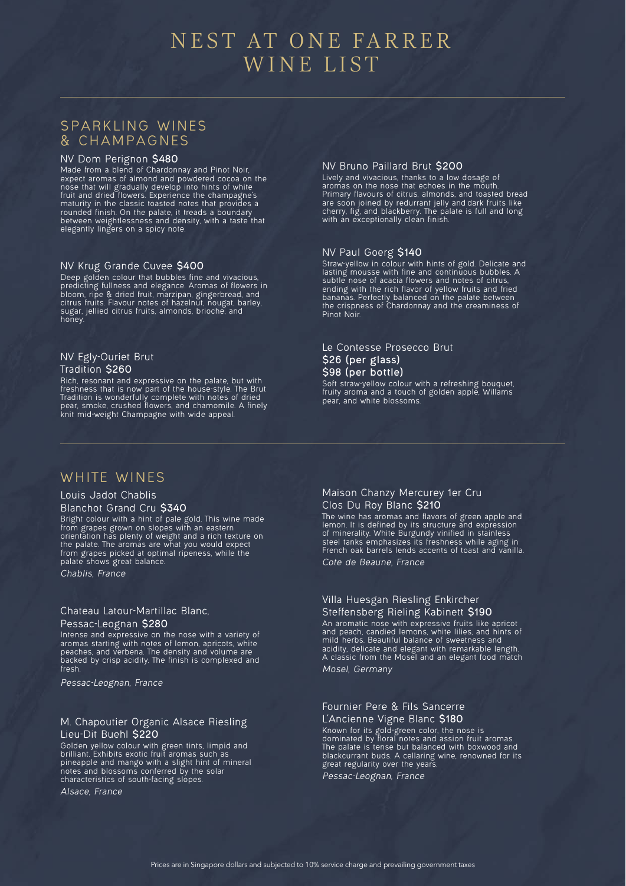# NEST AT ONE FARRER WINE LIST

### SPARKLING WINES & CHAMPAGNES

#### NV Dom Perignon **\$480**

Made from a blend of Chardonnay and Pinot Noir, expect aromas of almond and powdered cocoa on the nose that will gradually develop into hints of white fruit and dried flowers. Experience the champagne's maturity in the classic toasted notes that provides a rounded finish. On the palate, it treads a boundary between weightlessness and density, with a taste that elegantly lingers on a spicy note.

#### NV Krug Grande Cuvee **\$400**

Deep golden colour that bubbles fine and vivacious, predicting fullness and elegance. Aromas of flowers in bloom, ripe & dried fruit, marzipan, gingerbread, and citrus fruits. Flavour notes of hazelnut, nougat, barley, sugar, jellied citrus fruits, almonds, brioche, and honey.

### NV Egly-Ouriet Brut

#### Tradition **\$260**

Rich, resonant and expressive on the palate, but with freshness that is now part of the house-style. The Brut Tradition is wonderfully complete with notes of dried pear, smoke, crushed flowers, and chamomile. A finely knit mid-weight Champagne with wide appeal.

#### NV Bruno Paillard Brut **\$200**

Lively and vivacious, thanks to a low dosage of aromas on the nose that echoes in the mouth. Primary flavours of citrus, almonds, and toasted bread are soon joined by redurrant jelly and dark fruits like cherry, fig, and blackberry. The palate is full and long with an exceptionally clean finish.

#### NV Paul Goerg **\$140**

Straw-yellow in colour with hints of gold. Delicate and lasting mousse with fine and continuous bubbles. A subtle nose of acacia flowers and notes of citrus, ending with the rich flavor of yellow fruits and fried bananas. Perfectly balanced on the palate between the crispness of Chardonnay and the creaminess of Pinot Noir.

#### Le Contesse Prosecco Brut **\$26 (per glass) \$98 (per bottle)**

Soft straw-yellow colour with a refreshing bouquet, fruity aroma and a touch of golden apple, Willams pear, and white blossoms.

### WHITE WINES

#### Louis Jadot Chablis

#### Blanchot Grand Cru **\$340**

Bright colour with a hint of pale gold. This wine made from grapes grown on slopes with an eastern orientation has plenty of weight and a rich texture on the palate. The aromas are what you would expect from grapes picked at optimal ripeness, while the palate shows great balance.

*Chablis, France*

#### Chateau Latour-Martillac Blanc, Pessac-Leognan **\$280**

Intense and expressive on the nose with a variety of aromas starting with notes of lemon, apricots, white peaches, and verbena. The density and volume are backed by crisp acidity. The finish is complexed and fresh.

*Pessac-Leognan, France*

#### M. Chapoutier Organic Alsace Riesling Lieu-Dit Buehl **\$220**

Golden yellow colour with green tints, limpid and brilliant. Exhibits exotic fruit aromas such as pineapple and mango with a slight hint of mineral notes and blossoms conferred by the solar characteristics of south-facing slopes.

*Alsace, France*

#### Maison Chanzy Mercurey 1er Cru Clos Du Roy Blanc **\$210**

The wine has aromas and flavors of green apple and lemon. It is defined by its structure and expression of minerality. White Burgundy vinified in stainless steel tanks emphasizes its freshness while aging in French oak barrels lends accents of toast and vanilla. *Cote de Beaune, France*

### Villa Huesgan Riesling Enkircher

Steffensberg Rieling Kabinett **\$190** An aromatic nose with expressive fruits like apricot and peach, candied lemons, white lilies, and hints of mild herbs. Beautiful balance of sweetness and acidity, delicate and elegant with remarkable length. A classic from the Mosel and an elegant food match *Mosel, Germany*

#### Fournier Pere & Fils Sancerre L'Ancienne Vigne Blanc **\$180**

Known for its gold-green color, the nose is dominated by floral notes and assion fruit aromas. The palate is tense but balanced with boxwood and blackcurrant buds. A cellaring wine, renowned for its great regularity over the years.

*Pessac-Leognan, France*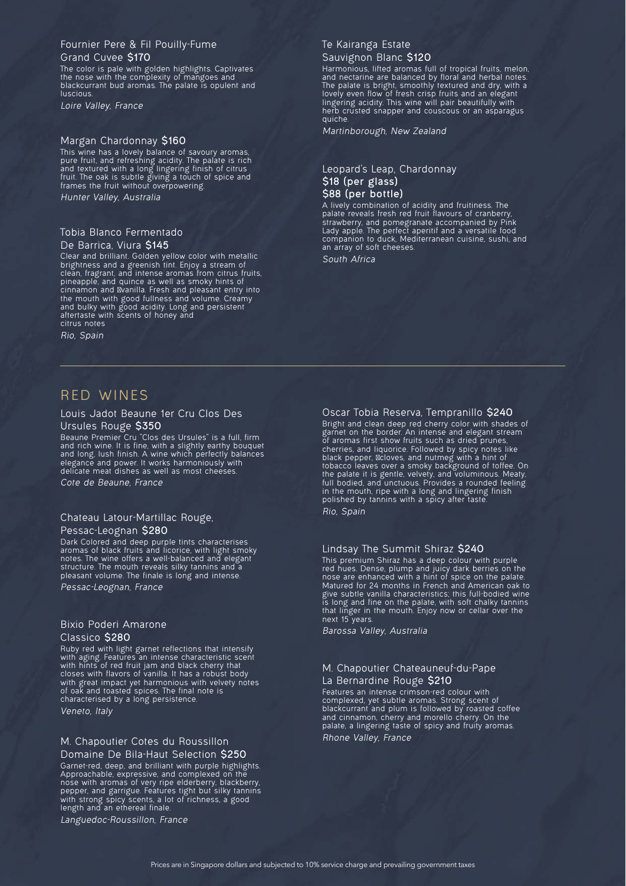#### Fournier Pere & Fil Pouilly-Fume Grand Cuvee **\$170**

The color is pale with golden highlights. Captivates the nose with the complexity of mangoes and blackcurrant bud aromas. The palate is opulent and **luscious** 

*Loire Valley, France*

#### Margan Chardonnay **\$160**

This wine has a lovely balance of savoury aromas, pure fruit, and refreshing acidity. The palate is rich and textured with a long lingering finish of citrus fruit. The oak is subtle giving a touch of spice and frames the fruit without overpowering. *Hunter Valley, Australia*

#### Tobia Blanco Fermentado De Barrica, Viura **\$145**

Clear and brilliant. Golden yellow color with metallic brightness and a greenish tint. Enjoy a stream of clean, fragrant, and intense aromas from citrus fruits, pineapple, and quince as well as smoky hints of cinnamon and vanilla. Fresh and pleasant entry into the mouth with good fullness and volume. Creamy and bulky with good acidity. Long and persistent aftertaste with scents of honey and citrus notes

*Rio, Spain*

### RED WINES

#### Louis Jadot Beaune 1er Cru Clos Des Ursules Rouge **\$350**

Beaune Premier Cru "Clos des Ursules" is a full, firm and rich wine. It is fine, with a slightly earthy bouquet and long, lush finish. A wine which perfectly balances elegance and power. It works harmoniously with delicate meat dishes as well as most cheeses. *Cote de Beaune, France*

#### Chateau Latour-Martillac Rouge, Pessac-Leognan **\$280**

Dark Colored and deep purple tints characterises aromas of black fruits and licorice, with light smoky notes. The wine offers a well-balanced and elegant structure. The mouth reveals silky tannins and a pleasant volume. The finale is long and intense. *Pessac-Leognan, France*

#### Bixio Poderi Amarone Classico **\$280**

Ruby red with light garnet reflections that intensify with aging. Features an intense characteristic scent with hints of red fruit jam and black cherry that closes with flavors of vanilla. It has a robust body with great impact yet harmonious with velvety notes of oak and toasted spices. The final note is characterised by a long persistence. *Veneto, Italy*

### M. Chapoutier Cotes du Roussillon

Domaine De Bila-Haut Selection **\$250** Garnet-red, deep, and brilliant with purple highlights. Approachable, expressive, and complexed on the nose with aromas of very ripe elderberry, blackberry, pepper, and garrigue. Features tight but silky tannins with strong spicy scents, a lot of richness, a good length and an ethereal finale.

*Languedoc-Roussillon, France*

#### Te Kairanga Estate Sauvignon Blanc **\$120**

Harmonious, lifted aromas full of tropical fruits, melon, and nectarine are balanced by floral and herbal notes. The palate is bright, smoothly textured and dry, with a lovely even flow of fresh crisp fruits and an elegant lingering acidity. This wine will pair beautifully with herb crusted snapper and couscous or an asparagus quiche.

*Martinborough, New Zealand*

#### Leopard's Leap, Chardonnay **\$18 (per glass) \$88 (per bottle)**

A lively combination of acidity and fruitiness. The palate reveals fresh red fruit flavours of cranberry, strawberry, and pomegranate accompanied by Pink Lady apple. The perfect aperitif and a versatile food companion to duck, Mediterranean cuisine, sushi, and an array of soft cheeses.

*South Africa*

#### Oscar Tobia Reserva, Tempranillo **\$240**

Bright and clean deep red cherry color with shades of garnet on the border. An intense and elegant stream of aromas first show fruits such as dried prunes, cherries, and liquorice. Followed by spicy notes like black pepper, cloves, and nutmeg with a hint of tobacco leaves over a smoky background of toffee. On the palate it is gentle, velvety, and voluminous. Meaty, full bodied, and unctuous. Provides a rounded feeling in the mouth, ripe with a long and lingering finish polished by tannins with a spicy after taste *Rio, Spain*

#### Lindsay The Summit Shiraz **\$240**

This premium Shiraz has a deep colour with purple red hues. Dense, plump and juicy dark berries on the nose are enhanced with a hint of spice on the palate. Matured for 24 months in French and American oak to give subtle vanilla characteristics; this full-bodied wine is long and fine on the palate, with soft chalky tannins that linger in the mouth. Enjoy now or cellar over the next 15 years.

*Barossa Valley, Australia*

#### M. Chapoutier Chateauneuf-du-Pape La Bernardine Rouge **\$210**

Features an intense crimson-red colour with complexed, yet subtle aromas. Strong scent of blackcurrant and plum is followed by roasted coffee and cinnamon, cherry and morello cherry. On the palate, a lingering taste of spicy and fruity aromas. *Rhone Valley, France*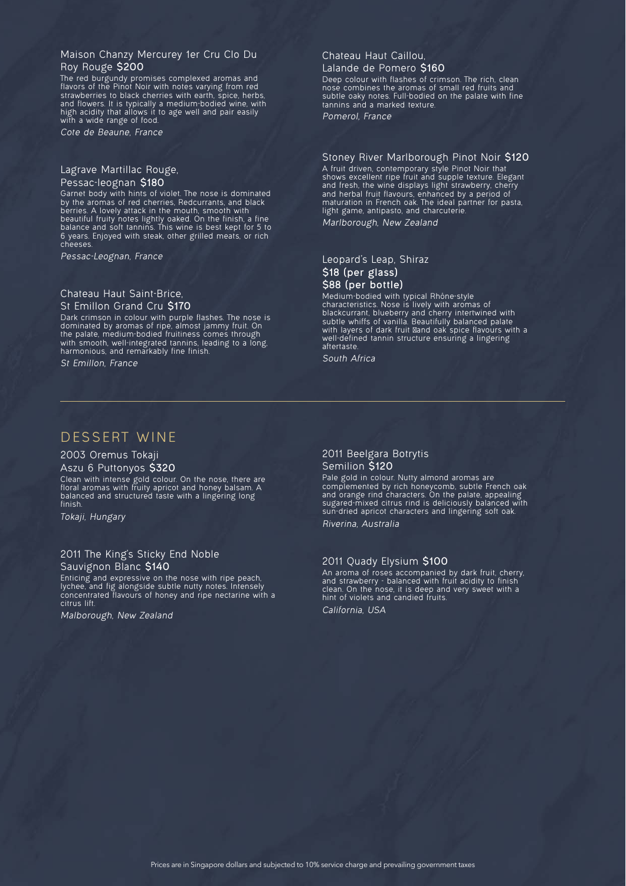#### Maison Chanzy Mercurey 1er Cru Clo Du Roy Rouge **\$200**

The red burgundy promises complexed aromas and flavors of the Pinot Noir with notes varying from red strawberries to black cherries with earth, spice, herbs, and flowers. It is typically a medium-bodied wine, with high acidity that allows it to age well and pair easily with a wide range of food.

*Cote de Beaune, France*

### Lagrave Martillac Rouge,

#### Pessac-leognan **\$180**

Garnet body with hints of violet. The nose is dominated by the aromas of red cherries, Redcurrants, and black berries. A lovely attack in the mouth, smooth with beautiful fruity notes lightly oaked. On the finish, a fine balance and soft tannins. This wine is best kept for 5 to 6 years. Enjoyed with steak, other grilled meats, or rich cheeses.

*Pessac-Leognan, France*

### Chateau Haut Saint-Brice,

St Emillon Grand Cru **\$170** Dark crimson in colour with purple flashes. The nose is dominated by aromas of ripe, almost jammy fruit. On

the palate, medium-bodied fruitiness comes through with smooth, well-integrated tannins, leading to a long, harmonious, and remarkably fine finish. *St Emillon, France*

#### Chateau Haut Caillou,

#### Lalande de Pomero **\$160**

Deep colour with flashes of crimson. The rich, clean nose combines the aromas of small red fruits and subtle oaky notes. Full-bodied on the palate with fine tannins and a marked texture.

*Pomerol, France*

### Stoney River Marlborough Pinot Noir **\$120**

A fruit driven, contemporary style Pinot Noir that shows excellent ripe fruit and supple texture. Elegant and fresh, the wine displays light strawberry, cherry and herbal fruit flavours, enhanced by a period of maturation in French oak. The ideal partner for pasta, light game, antipasto, and charcuterie. *Marlborough, New Zealand*

#### Leopard's Leap, Shiraz **\$18 (per glass) \$88 (per bottle)**

Medium-bodied with typical Rhône-style characteristics. Nose is lively with aromas of blackcurrant, blueberry and cherry intertwined with subtle whiffs of vanilla. Beautifully balanced palate with layers of dark fruit and oak spice flavours with a well-defined tannin structure ensuring a lingering aftertaste.

*South Africa*

### DESSERT WINE

#### 2003 Oremus Tokaji Aszu 6 Puttonyos **\$320**

Clean with intense gold colour. On the nose, there are floral aromas with fruity apricot and honey balsam. A balanced and structured taste with a lingering long finish.

*Tokaji, Hungary*

#### 2011 The King's Sticky End Noble Sauvignon Blanc **\$140**

Enticing and expressive on the nose with ripe peach, lychee, and fig alongside subtle nutty notes. Intensely concentrated flavours of honey and ripe nectarine with a citrus lift.

*Malborough, New Zealand*

#### 2011 Beelgara Botrytis Semilion **\$120**

Pale gold in colour. Nutty almond aromas are complemented by rich honeycomb, subtle French oak and orange rind characters. On the palate, appealing sugared-mixed citrus rind is deliciously balanced with sun-dried apricot characters and lingering soft oak.

*Riverina, Australia*

#### 2011 Quady Elysium **\$100**

An aroma of roses accompanied by dark fruit, cherry, and strawberry - balanced with fruit acidity to finish clean. On the nose, it is deep and very sweet with a hint of violets and candied fruits. *California, USA*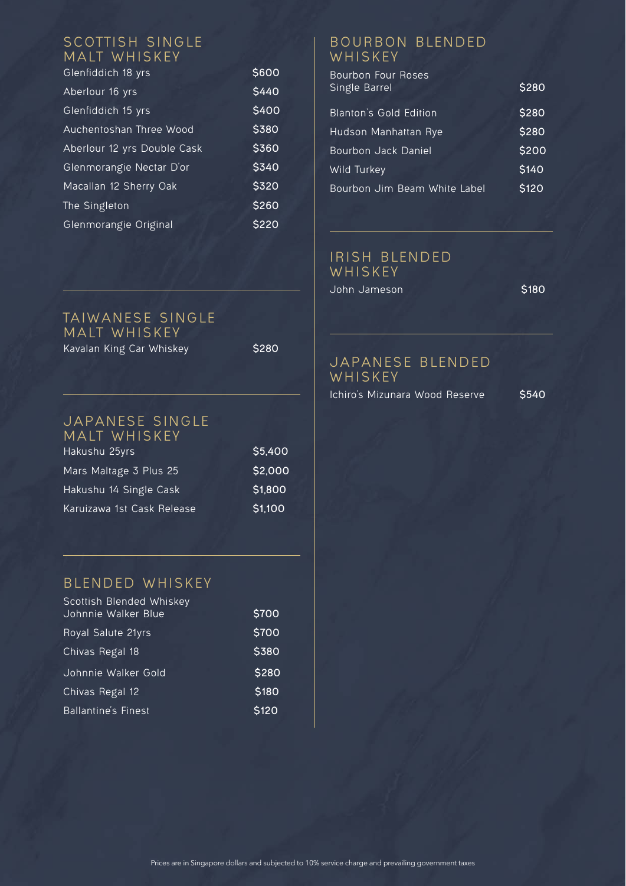### SCOTTISH SINGLE MALT WHISKEY

| Glenfiddich 18 yrs          | \$600 |
|-----------------------------|-------|
| Aberlour 16 yrs             | \$440 |
| Glenfiddich 15 yrs          | \$400 |
| Auchentoshan Three Wood     | \$380 |
| Aberlour 12 yrs Double Cask | \$360 |
| Glenmorangie Nectar D'or    | \$340 |
| Macallan 12 Sherry Oak      | \$320 |
| The Singleton               | \$260 |
| Glenmorangie Original       | S220  |

### TAIWANESE SINGLE MALT WHISKEY Kavalan King Car Whiskey **\$280**

#### JAPANESE SINGLE MAIT WHISKEY

| Hakushu 25yrs              | \$5,400 |
|----------------------------|---------|
| Mars Maltage 3 Plus 25     | \$2,000 |
| Hakushu 14 Single Cask     | \$1,800 |
| Karuizawa 1st Cask Release | \$1,100 |

## BLENDED WHISKEY

| Scottish Blended Whiskey<br>Johnnie Walker Blue | \$700 |
|-------------------------------------------------|-------|
| Royal Salute 21yrs                              | \$700 |
| Chivas Regal 18                                 | \$380 |
| Johnnie Walker Gold                             | \$280 |
| Chivas Regal 12                                 | \$180 |
| <b>Ballantine's Finest</b>                      | \$120 |

### B OURBON BLENDED WHISKEY

| Bourbon Four Roses<br>Single Barrel | \$280 |
|-------------------------------------|-------|
| <b>Blanton's Gold Edition</b>       | \$280 |
| Hudson Manhattan Rye                | \$280 |
| Bourbon Jack Daniel                 | \$200 |
| Wild Turkey                         | \$140 |
| Bourbon Jim Beam White Label        | \$120 |
|                                     |       |

### IRISH BLENDED WHISKEY

John Jameson **\$180**

### JAPANESE BLENDED **WHISKEY**

Ichiro's Mizunara Wood Reserve **\$540**